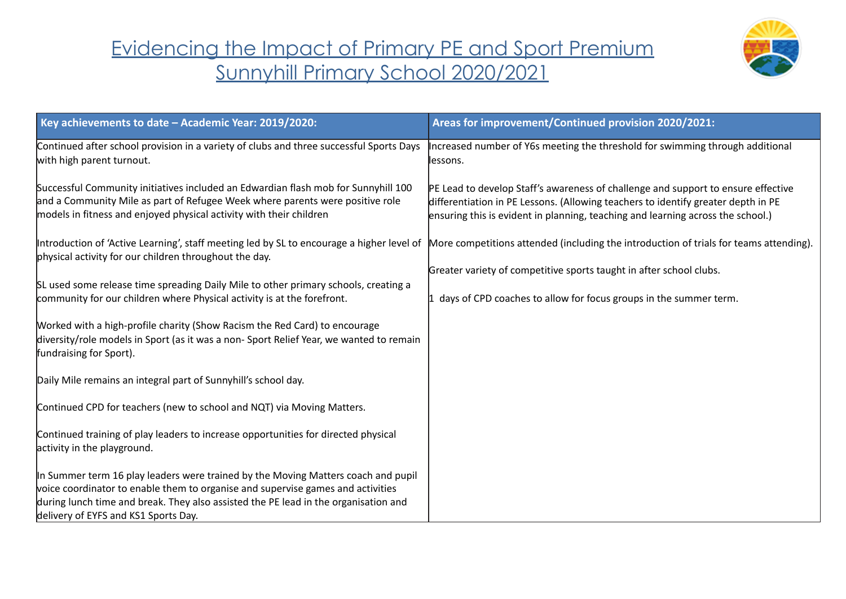## Evidencing the Impact of Primary PE and Sport Premium Sunnyhill Primary School 2020/2021



| Key achievements to date - Academic Year: 2019/2020:                                                                                                                                                                                                                                                | Areas for improvement/Continued provision 2020/2021:                                                                                                                                                                                                      |
|-----------------------------------------------------------------------------------------------------------------------------------------------------------------------------------------------------------------------------------------------------------------------------------------------------|-----------------------------------------------------------------------------------------------------------------------------------------------------------------------------------------------------------------------------------------------------------|
| Continued after school provision in a variety of clubs and three successful Sports Days<br>with high parent turnout.                                                                                                                                                                                | Increased number of Y6s meeting the threshold for swimming through additional<br>lessons.                                                                                                                                                                 |
| Successful Community initiatives included an Edwardian flash mob for Sunnyhill 100<br>and a Community Mile as part of Refugee Week where parents were positive role<br>models in fitness and enjoyed physical activity with their children                                                          | PE Lead to develop Staff's awareness of challenge and support to ensure effective<br>differentiation in PE Lessons. (Allowing teachers to identify greater depth in PE<br>ensuring this is evident in planning, teaching and learning across the school.) |
| Introduction of 'Active Learning', staff meeting led by SL to encourage a higher level of More competitions attended (including the introduction of trials for teams attending).<br>physical activity for our children throughout the day.                                                          |                                                                                                                                                                                                                                                           |
|                                                                                                                                                                                                                                                                                                     | Greater variety of competitive sports taught in after school clubs.                                                                                                                                                                                       |
| SL used some release time spreading Daily Mile to other primary schools, creating a<br>community for our children where Physical activity is at the forefront.                                                                                                                                      | days of CPD coaches to allow for focus groups in the summer term.                                                                                                                                                                                         |
| Worked with a high-profile charity (Show Racism the Red Card) to encourage<br>diversity/role models in Sport (as it was a non-Sport Relief Year, we wanted to remain<br>fundraising for Sport).                                                                                                     |                                                                                                                                                                                                                                                           |
| Daily Mile remains an integral part of Sunnyhill's school day.                                                                                                                                                                                                                                      |                                                                                                                                                                                                                                                           |
| Continued CPD for teachers (new to school and NQT) via Moving Matters.                                                                                                                                                                                                                              |                                                                                                                                                                                                                                                           |
| Continued training of play leaders to increase opportunities for directed physical<br>activity in the playground.                                                                                                                                                                                   |                                                                                                                                                                                                                                                           |
| In Summer term 16 play leaders were trained by the Moving Matters coach and pupil<br>voice coordinator to enable them to organise and supervise games and activities<br>during lunch time and break. They also assisted the PE lead in the organisation and<br>delivery of EYFS and KS1 Sports Day. |                                                                                                                                                                                                                                                           |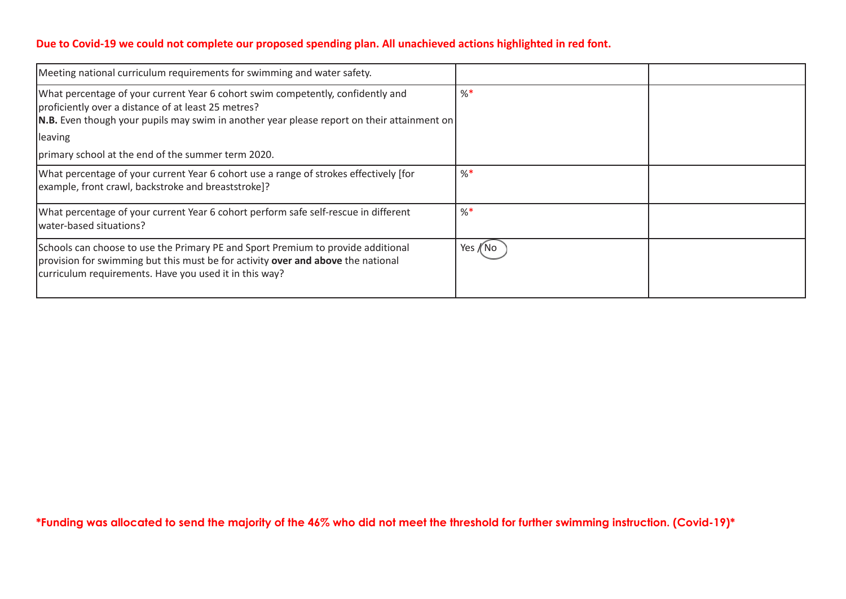## **Due to Covid-19 we could not complete our proposed spending plan. All unachieved actions highlighted in red font.**

| Meeting national curriculum requirements for swimming and water safety.                                                                                                                                                              |          |  |
|--------------------------------------------------------------------------------------------------------------------------------------------------------------------------------------------------------------------------------------|----------|--|
| What percentage of your current Year 6 cohort swim competently, confidently and<br>proficiently over a distance of at least 25 metres?<br>N.B. Even though your pupils may swim in another year please report on their attainment on | $\%$     |  |
| leaving                                                                                                                                                                                                                              |          |  |
| primary school at the end of the summer term 2020.                                                                                                                                                                                   |          |  |
| What percentage of your current Year 6 cohort use a range of strokes effectively [for<br>example, front crawl, backstroke and breaststroke]?                                                                                         | $\%$     |  |
| What percentage of your current Year 6 cohort perform safe self-rescue in different<br>lwater-based situations?                                                                                                                      | $\%$     |  |
| Schools can choose to use the Primary PE and Sport Premium to provide additional<br>provision for swimming but this must be for activity over and above the national<br>curriculum requirements. Have you used it in this way?       | Yes /(No |  |

\*Funding was allocated to send the majority of the 46% who did not meet the threshold for further swimming instruction. (Covid-19)\*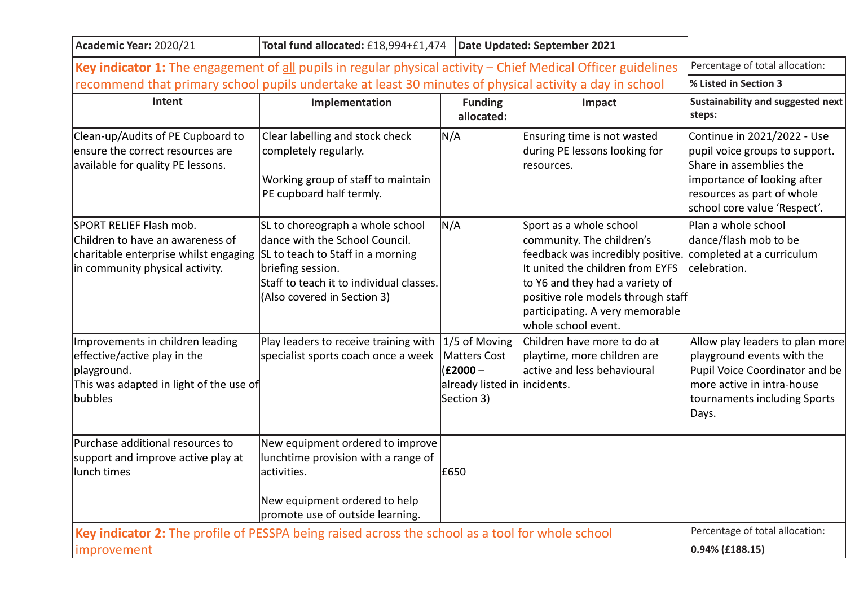| Academic Year: 2020/21                                                                                                                  | Total fund allocated: £18,994+£1,474                                                                                                                                                                    |                                                                                                    | Date Updated: September 2021                                                                                                                                                                                                                                     |                                                                                                                                                                                       |
|-----------------------------------------------------------------------------------------------------------------------------------------|---------------------------------------------------------------------------------------------------------------------------------------------------------------------------------------------------------|----------------------------------------------------------------------------------------------------|------------------------------------------------------------------------------------------------------------------------------------------------------------------------------------------------------------------------------------------------------------------|---------------------------------------------------------------------------------------------------------------------------------------------------------------------------------------|
| Key indicator 1: The engagement of all pupils in regular physical activity - Chief Medical Officer guidelines                           |                                                                                                                                                                                                         |                                                                                                    |                                                                                                                                                                                                                                                                  | Percentage of total allocation:                                                                                                                                                       |
| recommend that primary school pupils undertake at least 30 minutes of physical activity a day in school                                 |                                                                                                                                                                                                         |                                                                                                    |                                                                                                                                                                                                                                                                  | % Listed in Section 3                                                                                                                                                                 |
| Intent                                                                                                                                  | Implementation                                                                                                                                                                                          | <b>Funding</b><br>allocated:                                                                       | Impact                                                                                                                                                                                                                                                           | Sustainability and suggested next<br>steps:                                                                                                                                           |
| Clean-up/Audits of PE Cupboard to<br>ensure the correct resources are<br>available for quality PE lessons.                              | Clear labelling and stock check<br>completely regularly.<br>Working group of staff to maintain<br>PE cupboard half termly.                                                                              | N/A                                                                                                | Ensuring time is not wasted<br>during PE lessons looking for<br>resources.                                                                                                                                                                                       | Continue in 2021/2022 - Use<br>pupil voice groups to support.<br>Share in assemblies the<br>importance of looking after<br>resources as part of whole<br>school core value 'Respect'. |
| SPORT RELIEF Flash mob.<br>Children to have an awareness of<br>charitable enterprise whilst engaging<br>in community physical activity. | SL to choreograph a whole school<br>dance with the School Council.<br>SL to teach to Staff in a morning<br>briefing session.<br>Staff to teach it to individual classes.<br>(Also covered in Section 3) | N/A                                                                                                | Sport as a whole school<br>community. The children's<br>feedback was incredibly positive.<br>It united the children from EYFS<br>to Y6 and they had a variety of<br>positive role models through staff<br>participating. A very memorable<br>whole school event. | Plan a whole school<br>dance/flash mob to be<br>completed at a curriculum<br>celebration.                                                                                             |
| Improvements in children leading<br>effective/active play in the<br>playground.<br>This was adapted in light of the use of<br>bubbles   | Play leaders to receive training with<br>specialist sports coach once a week                                                                                                                            | $1/5$ of Moving<br><b>Matters Cost</b><br>$(E2000 -$<br>already listed in incidents.<br>Section 3) | Children have more to do at<br>playtime, more children are<br>lactive and less behavioural                                                                                                                                                                       | Allow play leaders to plan more<br>playground events with the<br>Pupil Voice Coordinator and be<br>more active in intra-house<br>tournaments including Sports<br>Days.                |
| Purchase additional resources to<br>support and improve active play at<br>llunch times                                                  | New equipment ordered to improve<br>lunchtime provision with a range of<br>activities.<br>New equipment ordered to help<br>promote use of outside learning.                                             | E650                                                                                               |                                                                                                                                                                                                                                                                  |                                                                                                                                                                                       |
| Key indicator 2: The profile of PESSPA being raised across the school as a tool for whole school                                        |                                                                                                                                                                                                         |                                                                                                    |                                                                                                                                                                                                                                                                  | Percentage of total allocation:                                                                                                                                                       |
| improvement                                                                                                                             |                                                                                                                                                                                                         |                                                                                                    |                                                                                                                                                                                                                                                                  | $0.94\%$ $\{\text{£}188.15\}$                                                                                                                                                         |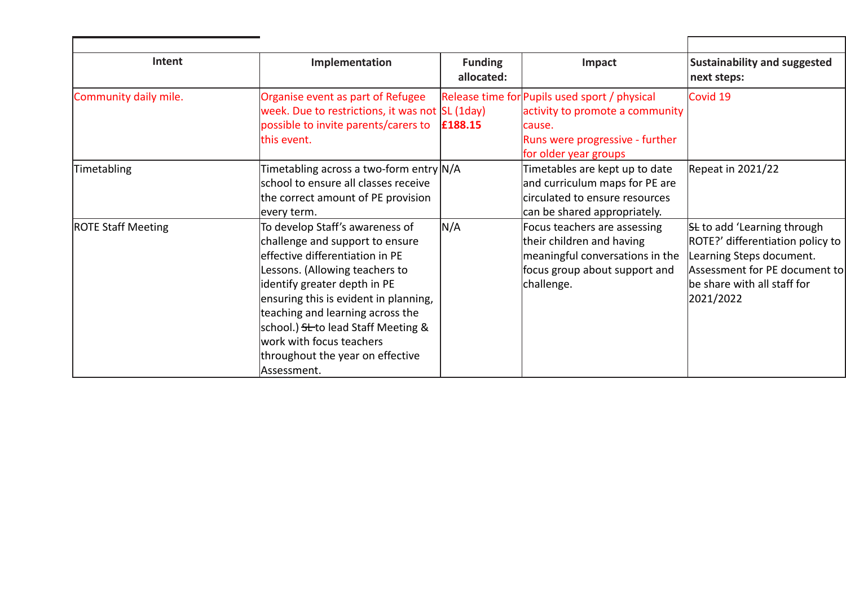| Intent                    | Implementation                                                                                                                                                                                                                                                                                                                                                              | <b>Funding</b><br>allocated: | Impact                                                                                                                                                 | <b>Sustainability and suggested</b><br>next steps:                                                                                                                              |
|---------------------------|-----------------------------------------------------------------------------------------------------------------------------------------------------------------------------------------------------------------------------------------------------------------------------------------------------------------------------------------------------------------------------|------------------------------|--------------------------------------------------------------------------------------------------------------------------------------------------------|---------------------------------------------------------------------------------------------------------------------------------------------------------------------------------|
| Community daily mile.     | Organise event as part of Refugee<br>week. Due to restrictions, it was not SL (1day)<br>possible to invite parents/carers to<br>this event.                                                                                                                                                                                                                                 | £188.15                      | Release time for Pupils used sport / physical<br>activity to promote a community<br>cause.<br>Runs were progressive - further<br>for older year groups | Covid 19                                                                                                                                                                        |
| Timetabling               | Timetabling across a two-form entry N/A<br>school to ensure all classes receive<br>the correct amount of PE provision<br>every term.                                                                                                                                                                                                                                        |                              | Timetables are kept up to date<br>and curriculum maps for PE are<br>circulated to ensure resources<br>can be shared appropriately.                     | Repeat in 2021/22                                                                                                                                                               |
| <b>ROTE Staff Meeting</b> | To develop Staff's awareness of<br>challenge and support to ensure<br>leffective differentiation in PE<br>Lessons. (Allowing teachers to<br>identify greater depth in PE<br>ensuring this is evident in planning,<br>teaching and learning across the<br>school.) St to lead Staff Meeting &<br>work with focus teachers<br>throughout the year on effective<br>Assessment. | N/A                          | Focus teachers are assessing<br>their children and having<br>meaningful conversations in the<br>focus group about support and<br>challenge.            | <b>St</b> to add 'Learning through<br>ROTE?' differentiation policy to<br>Learning Steps document.<br>Assessment for PE document to<br>be share with all staff for<br>2021/2022 |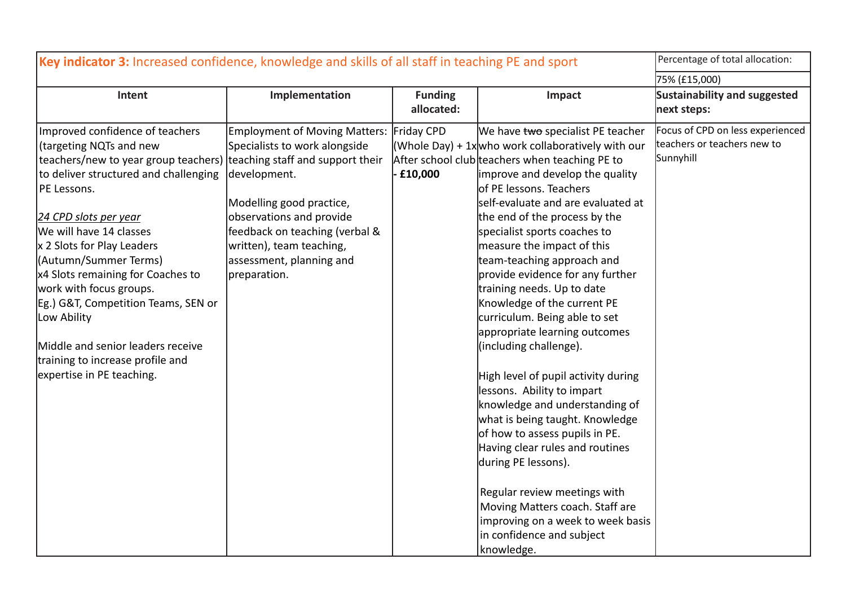| Key indicator 3: Increased confidence, knowledge and skills of all staff in teaching PE and sport                                                                                                                                                                                                                                                                                                                                                                                                                                  |                                                                                                                                                                                                                                                             |                              | Percentage of total allocation:                                                                                                                                                                                                                                                                                                                                                                                                                                                                                                                                                                                                                                                                                                                                                                                                                                                                                                                                     |                                                                              |
|------------------------------------------------------------------------------------------------------------------------------------------------------------------------------------------------------------------------------------------------------------------------------------------------------------------------------------------------------------------------------------------------------------------------------------------------------------------------------------------------------------------------------------|-------------------------------------------------------------------------------------------------------------------------------------------------------------------------------------------------------------------------------------------------------------|------------------------------|---------------------------------------------------------------------------------------------------------------------------------------------------------------------------------------------------------------------------------------------------------------------------------------------------------------------------------------------------------------------------------------------------------------------------------------------------------------------------------------------------------------------------------------------------------------------------------------------------------------------------------------------------------------------------------------------------------------------------------------------------------------------------------------------------------------------------------------------------------------------------------------------------------------------------------------------------------------------|------------------------------------------------------------------------------|
|                                                                                                                                                                                                                                                                                                                                                                                                                                                                                                                                    |                                                                                                                                                                                                                                                             |                              |                                                                                                                                                                                                                                                                                                                                                                                                                                                                                                                                                                                                                                                                                                                                                                                                                                                                                                                                                                     | 75% (£15,000)                                                                |
| Intent                                                                                                                                                                                                                                                                                                                                                                                                                                                                                                                             | Implementation                                                                                                                                                                                                                                              | <b>Funding</b><br>allocated: | Impact                                                                                                                                                                                                                                                                                                                                                                                                                                                                                                                                                                                                                                                                                                                                                                                                                                                                                                                                                              | Sustainability and suggested<br>next steps:                                  |
| Improved confidence of teachers<br>(targeting NQTs and new<br>teachers/new to year group teachers) teaching staff and support their<br>to deliver structured and challenging<br>PE Lessons.<br>24 CPD slots per year<br>We will have 14 classes<br>x 2 Slots for Play Leaders<br>(Autumn/Summer Terms)<br>x4 Slots remaining for Coaches to<br>work with focus groups.<br>Eg.) G&T, Competition Teams, SEN or<br>Low Ability<br>Middle and senior leaders receive<br>training to increase profile and<br>expertise in PE teaching. | Employment of Moving Matters: Friday CPD<br>Specialists to work alongside<br>development.<br>Modelling good practice,<br>observations and provide<br>feedback on teaching (verbal &<br>written), team teaching,<br>assessment, planning and<br>preparation. | £10,000                      | We have two specialist PE teacher<br>(Whole Day) + $1x$ who work collaboratively with our<br>After school club teachers when teaching PE to<br>improve and develop the quality<br>lof PE lessons. Teachers<br>self-evaluate and are evaluated at<br>the end of the process by the<br>specialist sports coaches to<br>measure the impact of this<br>team-teaching approach and<br>provide evidence for any further<br>training needs. Up to date<br>Knowledge of the current PE<br>curriculum. Being able to set<br>appropriate learning outcomes<br>(including challenge).<br>High level of pupil activity during<br>lessons. Ability to impart<br>knowledge and understanding of<br>what is being taught. Knowledge<br>of how to assess pupils in PE.<br>Having clear rules and routines<br>during PE lessons).<br>Regular review meetings with<br>Moving Matters coach. Staff are<br>improving on a week to week basis<br>in confidence and subject<br>knowledge. | Focus of CPD on less experienced<br>teachers or teachers new to<br>Sunnyhill |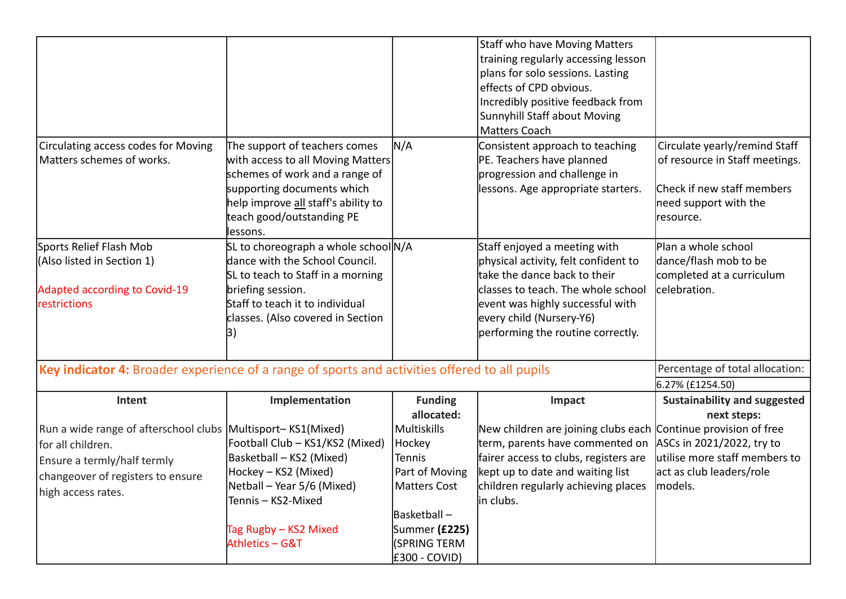|                                                                                                                                                                            |                                                                                                                                                                                                                     |                                                                                                                                            | <b>Staff who have Moving Matters</b><br>training regularly accessing lesson<br>plans for solo sessions. Lasting<br>effects of CPD obvious.<br>Incredibly positive feedback from<br>Sunnyhill Staff about Moving<br><b>Matters Coach</b>         |                                                                                                                                      |
|----------------------------------------------------------------------------------------------------------------------------------------------------------------------------|---------------------------------------------------------------------------------------------------------------------------------------------------------------------------------------------------------------------|--------------------------------------------------------------------------------------------------------------------------------------------|-------------------------------------------------------------------------------------------------------------------------------------------------------------------------------------------------------------------------------------------------|--------------------------------------------------------------------------------------------------------------------------------------|
| Circulating access codes for Moving<br>Matters schemes of works.                                                                                                           | The support of teachers comes<br>with access to all Moving Matters <br>schemes of work and a range of<br>supporting documents which<br>help improve all staff's ability to<br>teach good/outstanding PE<br>lessons. | N/A                                                                                                                                        | Consistent approach to teaching<br>PE. Teachers have planned<br>progression and challenge in<br>lessons. Age appropriate starters.                                                                                                              | Circulate yearly/remind Staff<br>of resource in Staff meetings.<br>Check if new staff members<br>need support with the<br> resource. |
| Sports Relief Flash Mob<br>(Also listed in Section 1)<br><b>Adapted according to Covid-19</b><br>restrictions                                                              | SL to choreograph a whole school N/A<br>dance with the School Council.<br>SL to teach to Staff in a morning<br>briefing session.<br>Staff to teach it to individual<br>classes. (Also covered in Section<br>3)      |                                                                                                                                            | Staff enjoyed a meeting with<br>physical activity, felt confident to<br>take the dance back to their<br>classes to teach. The whole school<br>event was highly successful with<br>every child (Nursery-Y6)<br>performing the routine correctly. | Plan a whole school<br>dance/flash mob to be<br>completed at a curriculum<br>celebration.                                            |
| Key indicator 4: Broader experience of a range of sports and activities offered to all pupils                                                                              |                                                                                                                                                                                                                     |                                                                                                                                            |                                                                                                                                                                                                                                                 | Percentage of total allocation:                                                                                                      |
|                                                                                                                                                                            |                                                                                                                                                                                                                     |                                                                                                                                            |                                                                                                                                                                                                                                                 | 6.27% (£1254.50)                                                                                                                     |
| Intent                                                                                                                                                                     | Implementation                                                                                                                                                                                                      | <b>Funding</b><br>allocated:                                                                                                               | Impact                                                                                                                                                                                                                                          | <b>Sustainability and suggested</b><br>next steps:                                                                                   |
| Run a wide range of afterschool clubs Multisport-KS1(Mixed)<br>for all children.<br>Ensure a termly/half termly<br>changeover of registers to ensure<br>high access rates. | Football Club - KS1/KS2 (Mixed)<br>Basketball - KS2 (Mixed)<br>Hockey - KS2 (Mixed)<br>Netball - Year 5/6 (Mixed)<br>Tennis - KS2-Mixed<br>Tag Rugby – KS2 Mixed<br>Athletics - G&T                                 | Multiskills<br>Hockey <br>Tennis<br>Part of Moving<br><b>Matters Cost</b><br>Basketball-<br>Summer (£225)<br>(SPRING TERM<br>E300 - COVID) | New children are joining clubs each Continue provision of free<br>term, parents have commented on<br>fairer access to clubs, registers are<br>kept up to date and waiting list<br>children regularly achieving places   models.<br>lin clubs.   | ASCs in 2021/2022, try to<br>utilise more staff members to<br>act as club leaders/role                                               |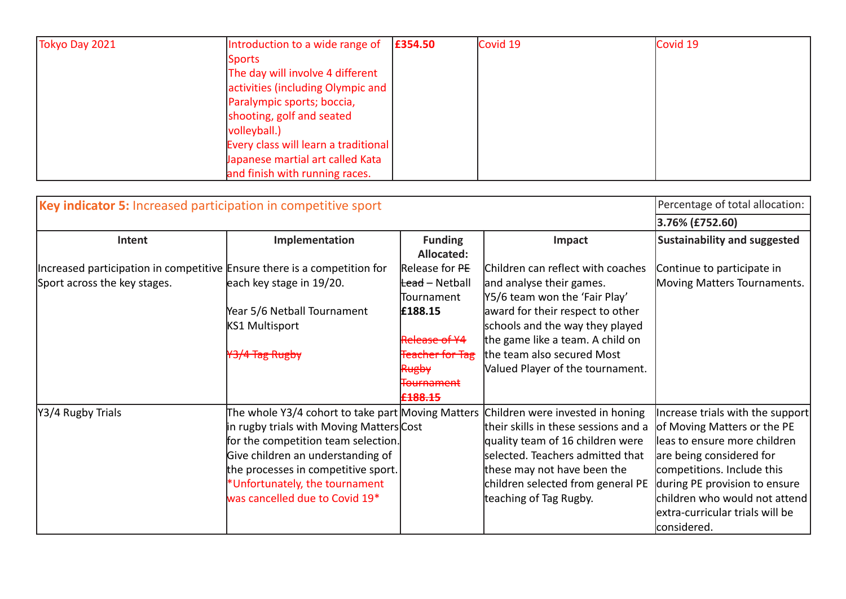| Tokyo Day 2021 | Introduction to a wide range of      | £354.50 | Covid 19 | Covid 19 |
|----------------|--------------------------------------|---------|----------|----------|
|                | <b>Sports</b>                        |         |          |          |
|                | The day will involve 4 different     |         |          |          |
|                | activities (including Olympic and    |         |          |          |
|                | Paralympic sports; boccia,           |         |          |          |
|                | shooting, golf and seated            |         |          |          |
|                | volleyball.)                         |         |          |          |
|                | Every class will learn a traditional |         |          |          |
|                | Japanese martial art called Kata     |         |          |          |
|                | and finish with running races.       |         |          |          |

| Key indicator 5: Increased participation in competitive sport            |                                                   |                            |                                      | Percentage of total allocation:     |
|--------------------------------------------------------------------------|---------------------------------------------------|----------------------------|--------------------------------------|-------------------------------------|
|                                                                          |                                                   |                            |                                      | 3.76% (£752.60)                     |
| Intent                                                                   | Implementation                                    | <b>Funding</b>             | Impact                               | <b>Sustainability and suggested</b> |
|                                                                          |                                                   | Allocated:                 |                                      |                                     |
| Increased participation in competitive Ensure there is a competition for |                                                   | Release for PE             | Children can reflect with coaches    | Continue to participate in          |
| Sport across the key stages.                                             | each key stage in 19/20.                          | <del>Lead</del> – Netball  | and analyse their games.             | Moving Matters Tournaments.         |
|                                                                          |                                                   | <b>Tournament</b>          | Y5/6 team won the 'Fair Play'        |                                     |
|                                                                          | Year 5/6 Netball Tournament                       | £188.15                    | award for their respect to other     |                                     |
|                                                                          | KS1 Multisport                                    |                            | schools and the way they played      |                                     |
|                                                                          |                                                   | Release of Y4              | the game like a team. A child on     |                                     |
|                                                                          | 3/4 Tag Rugby                                     | <del>Teacher for Tag</del> | the team also secured Most           |                                     |
|                                                                          |                                                   | Rugby                      | Valued Player of the tournament.     |                                     |
|                                                                          |                                                   | <del>Tournament</del>      |                                      |                                     |
|                                                                          |                                                   | <del>£188.15</del>         |                                      |                                     |
| Y3/4 Rugby Trials                                                        | The whole Y3/4 cohort to take part Moving Matters |                            | Children were invested in honing     | Increase trials with the support    |
|                                                                          | in rugby trials with Moving Matters Cost          |                            | their skills in these sessions and a | of Moving Matters or the PE         |
|                                                                          | for the competition team selection.               |                            | quality team of 16 children were     | leas to ensure more children        |
|                                                                          | Give children an understanding of                 |                            | selected. Teachers admitted that     | are being considered for            |
|                                                                          | the processes in competitive sport.               |                            | these may not have been the          | competitions. Include this          |
|                                                                          | *Unfortunately, the tournament                    |                            | children selected from general PE    | during PE provision to ensure       |
|                                                                          | was cancelled due to Covid 19*                    |                            | teaching of Tag Rugby.               | children who would not attend       |
|                                                                          |                                                   |                            |                                      | extra-curricular trials will be     |
|                                                                          |                                                   |                            |                                      | considered.                         |